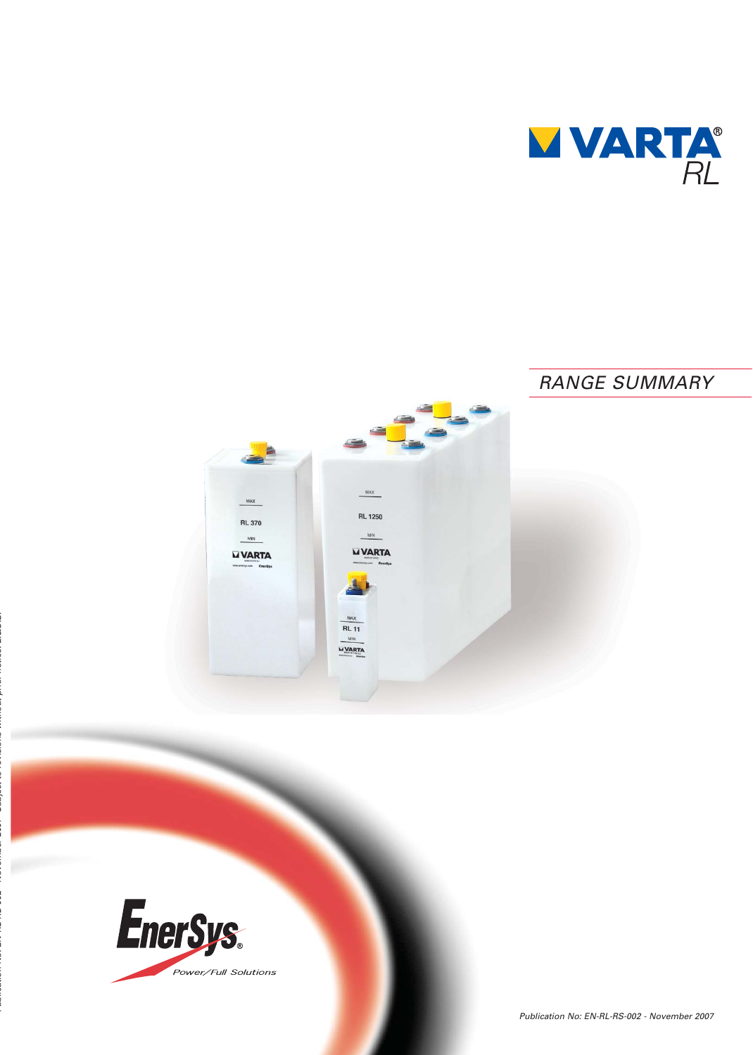

# RANGE SUMMARY $\mathbb{R}^{\mathbb{Z}}$  $MAX$  $MAX$ **RL 1250 RL 370**  $MN$  $MIN$ **WARTA WARTA** XAN **RL 11 MARTA**

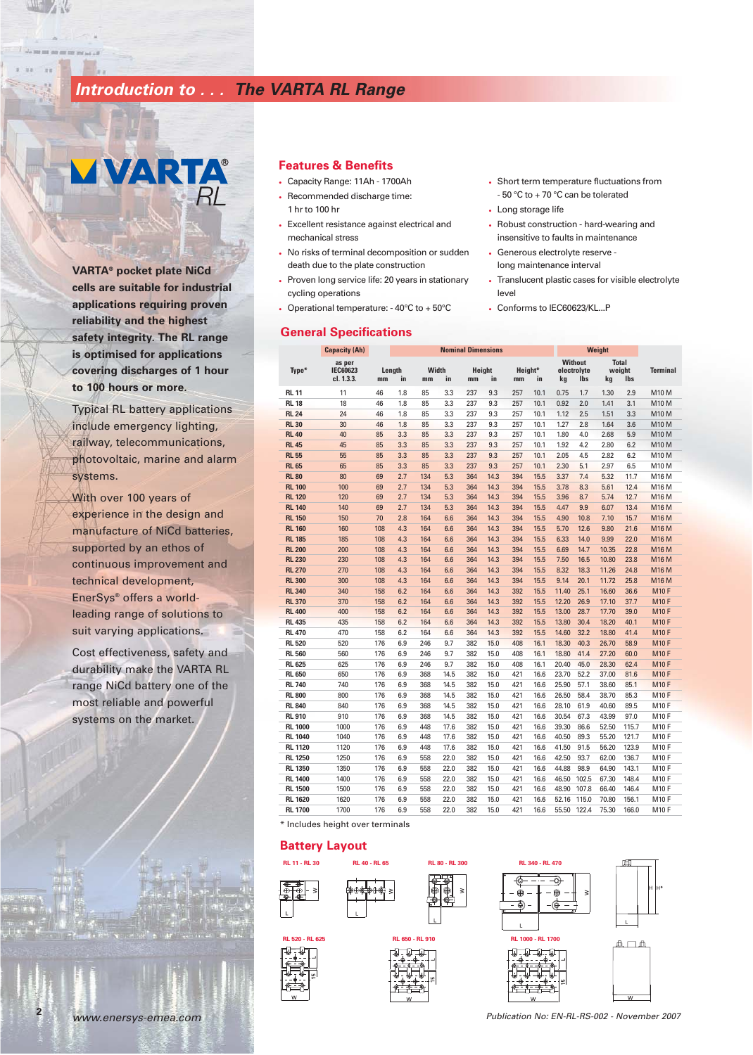## **Introduction to . . . The VARTA RL Range**

# **VARTA®**

**VARTA® pocket plate NiCd cells are suitable for industrial applications requiring proven reliability and the highest safety integrity. The RL range is optimised for applications covering discharges of 1 hour to 100 hours or more.**

Typical RL battery applications include emergency lighting, railway, telecommunications, photovoltaic, marine and alarm systems.

With over 100 years of experience in the design and manufacture of NiCd batteries, supported by an ethos of continuous improvement and technical development, EnerSys® offers a worldleading range of solutions to suit varying applications.

Cost effectiveness, safety and durability make the VARTA RL range NiCd battery one of the most reliable and powerful systems on the market.

#### **Features & Benefits**

- Capacity Range: 11Ah 1700Ah
- Recommended discharge time: 1 hr to 100 hr
- Excellent resistance against electrical and mechanical stress
- No risks of terminal decomposition or sudden death due to the plate construction
- Proven long service life: 20 years in stationary cycling operations
- Operational temperature: 40°C to + 50°C

# **General Specifications**

**as per Without Total Type\* IEC60623 Length Width Height Height\* electrolyte weight Terminal cl. 1.3.3. mm in mm in mm in mm in kg lbs kg lbs Capacity (Ah) Nominal Dimensions Weight RL 11** 11 46 1.8 85 3.3 237 9.3 257 10.1 0.75 1.7 1.30 2.9 M10 M **RL 18** 18 46 1.8 85 3.3 237 9.3 257 10.1 0.92 2.0 1.41 3.1 M10 M **RL 24** 24 46 1.8 85 3.3 237 9.3 257 10.1 1.12 2.5 1.51 3.3 M10 M **RL 30** 30 46 1.8 85 3.3 237 9.3 257 10.1 1.27 2.8 1.64 3.6 M10 M **RL 40** 40 85 3.3 85 3.3 237 9.3 257 10.1 1.80 4.0 2.68 5.9 M10 M **RL 45** 45 85 3.3 85 3.3 237 9.3 257 10.1 1.92 4.2 2.80 6.2 M10 M **RL 55** 55 85 3.3 85 3.3 237 9.3 257 10.1 2.05 4.5 2.82 6.2 M10 M **RL 65** 65 85 3.3 85 3.3 237 9.3 257 10.1 2.30 5.1 2.97 6.5 M10 M **RL 80** 80 69 2.7 134 5.3 364 14.3 394 15.5 3.37 7.4 5.32 11.7 M16 M **RL 100** 100 69 2.7 134 5.3 364 14.3 394 15.5 3.78 8.3 5.61 12.4 M16 M **RL 120** 120 69 2.7 134 5.3 364 14.3 394 15.5 3.96 8.7 5.74 12.7 M16 M **RL 140** 140 69 2.7 134 5.3 364 14.3 394 15.5 4.47 9.9 6.07 13.4 M16 M **RL 150** 150 70 2.8 164 6.6 364 14.3 394 15.5 4.90 10.8 7.10 15.7 M16 M **RL 160** 160 108 4.3 164 6.6 364 14.3 394 15.5 5.70 12.6 9.80 21.6 M16 M **RL 185** 185 108 4.3 164 6.6 364 14.3 394 15.5 6.33 14.0 9.99 22.0 M16 M **RL 200** 200 108 4.3 164 6.6 364 14.3 394 15.5 6.69 14.7 10.35 22.8 M16 M **RL 230** 230 108 4.3 164 6.6 364 14.3 394 15.5 7.50 16.5 10.80 23.8 M16 M **RL 270** 270 108 4.3 164 6.6 364 14.3 394 15.5 8.32 18.3 11.26 24.8 M16 M **RL 300** 300 108 4.3 164 6.6 364 14.3 394 15.5 9.14 20.1 11.72 25.8 M16 M **RL 340** 340 158 6.2 164 6.6 364 14.3 392 15.5 11.40 25.1 16.60 36.6 M10 F **RL 370** 370 158 6.2 164 6.6 364 14.3 392 15.5 12.20 26.9 17.10 37.7 M10 F **RL 400** 400 158 6.2 164 6.6 364 14.3 392 15.5 13.00 28.7 17.70 39.0 M10 F **RL 435** 435 158 6.2 164 6.6 364 14.3 392 15.5 13.80 30.4 18.20 40.1 M10 F **RL 470** 470 158 6.2 164 6.6 364 14.3 392 15.5 14.60 32.2 18.80 41.4 M10 F **RL 520** 520 176 6.9 246 9.7 382 15.0 408 16.1 18.30 40.3 26.70 58.9 M10 F **RL 560** 560 176 6.9 246 9.7 382 15.0 408 16.1 18.80 41.4 27.20 60.0 M10 F **RL 625** 625 176 6.9 246 9.7 382 15.0 408 16.1 20.40 45.0 28.30 62.4 M10 F **RL 650** 650 176 6.9 368 14.5 382 15.0 421 16.6 23.70 52.2 37.00 81.6 M10 F **RL 740** 740 176 6.9 368 14.5 382 15.0 421 16.6 25.90 57.1 38.60 85.1 M10 F **RL 800** 800 176 6.9 368 14.5 382 15.0 421 16.6 26.50 58.4 38.70 85.3 M10 F **RL 840** 840 176 6.9 368 14.5 382 15.0 421 16.6 28.10 61.9 40.60 89.5 M10 F **RL 910** 910 176 6.9 368 14.5 382 15.0 421 16.6 30.54 67.3 43.99 97.0 M10 F **RL 1000** 1000 176 6.9 448 17.6 382 15.0 421 16.6 39.30 86.6 52.50 115.7 M10 F **RL 1040** 1040 176 6.9 448 17.6 382 15.0 421 16.6 40.50 89.3 55.20 121.7 M10 F **RL 1120** 1120 176 6.9 448 17.6 382 15.0 421 16.6 41.50 91.5 56.20 123.9 M10 F **RL 1250** 1250 176 6.9 558 22.0 382 15.0 421 16.6 42.50 93.7 62.00 136.7 M10 F **RL 1350** 1350 176 6.9 558 22.0 382 15.0 421 16.6 44.88 98.9 64.90 143.1 M10 F **RL 1400** 1400 176 6.9 558 22.0 382 15.0 421 16.6 46.50 102.5 67.30 148.4 M10 F **RL 1500** 1500 176 6.9 558 22.0 382 15.0 421 16.6 48.90 107.8 66.40 146.4 M10 F **RL 1620** 1620 176 6.9 558 22.0 382 15.0 421 16.6 52.16 115.0 70.80 156.1 M10 F **RL 1700** 1700 176 6.9 558 22.0 382 15.0 421 16.6 55.50 122.4 75.30 166.0 M10 F

\* Includes height over terminals

#### **Battery Layout**







- Short term temperature fluctuations from - 50 °C to + 70 °C can be tolerated
- Long storage life
- Robust construction hard-wearing and insensitive to faults in maintenance
- Generous electrolyte reserve long maintenance interval
- Translucent plastic cases for visible electrolyte level
- Conforms to IEC60623/KL...P

**2**

www.enersys-emea.com Publication No: EN-RL-RS-002 - November 2007

▲□△

⊕

ම

-0

-@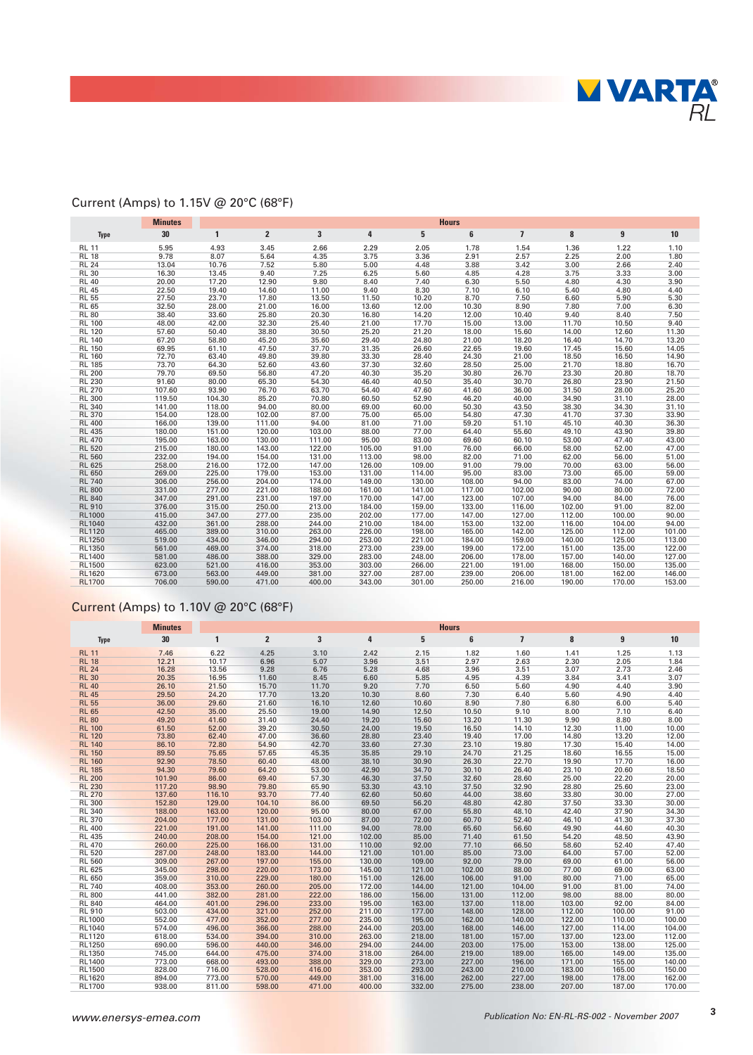

## Current (Amps) to 1.15V @ 20°C (68°F)

|               | <b>Minutes</b> | <b>Hours</b> |                |        |        |        |        |                |        |        |        |
|---------------|----------------|--------------|----------------|--------|--------|--------|--------|----------------|--------|--------|--------|
| <b>Type</b>   | 30             | $\mathbf{1}$ | $\overline{2}$ | 3      | 4      | 5      | 6      | $\overline{1}$ | 8      | 9      | 10     |
| <b>RL 11</b>  | 5.95           | 4.93         | 3.45           | 2.66   | 2.29   | 2.05   | 1.78   | 1.54           | 1.36   | 1.22   | 1.10   |
| <b>RL 18</b>  | 9.78           | 8.07         | 5.64           | 4.35   | 3.75   | 3.36   | 2.91   | 2.57           | 2.25   | 2.00   | 1.80   |
| <b>RL 24</b>  | 13.04          | 10.76        | 7.52           | 5.80   | 5.00   | 4.48   | 3.88   | 3.42           | 3.00   | 2.66   | 2.40   |
| <b>RL 30</b>  | 16.30          | 13.45        | 9.40           | 7.25   | 6.25   | 5.60   | 4.85   | 4.28           | 3.75   | 3.33   | 3.00   |
| <b>RL 40</b>  | 20.00          | 17.20        | 12.90          | 9.80   | 8.40   | 7.40   | 6.30   | 5.50           | 4.80   | 4.30   | 3.90   |
| <b>RL 45</b>  | 22.50          | 19.40        | 14.60          | 11.00  | 9.40   | 8.30   | 7.10   | 6.10           | 5.40   | 4.80   | 4.40   |
| <b>RL 55</b>  | 27.50          | 23.70        | 17.80          | 13.50  | 11.50  | 10.20  | 8.70   | 7.50           | 6.60   | 5.90   | 5.30   |
| <b>RL 65</b>  | 32.50          | 28.00        | 21.00          | 16.00  | 13.60  | 12.00  | 10.30  | 8.90           | 7.80   | 7.00   | 6.30   |
| <b>RL 80</b>  | 38.40          | 33.60        | 25.80          | 20.30  | 16.80  | 14.20  | 12.00  | 10.40          | 9.40   | 8.40   | 7.50   |
| <b>RL 100</b> | 48.00          | 42.00        | 32.30          | 25.40  | 21.00  | 17.70  | 15.00  | 13.00          | 11.70  | 10.50  | 9.40   |
| <b>RL 120</b> | 57.60          | 50.40        | 38.80          | 30.50  | 25.20  | 21.20  | 18.00  | 15.60          | 14.00  | 12.60  | 11.30  |
| <b>RL 140</b> | 67.20          | 58.80        | 45.20          | 35.60  | 29.40  | 24.80  | 21.00  | 18.20          | 16.40  | 14.70  | 13.20  |
| <b>RL 150</b> | 69.95          | 61.10        | 47.50          | 37.70  | 31.35  | 26.60  | 22.65  | 19.60          | 17.45  | 15.60  | 14.05  |
| <b>RL 160</b> | 72.70          | 63.40        | 49.80          | 39.80  | 33.30  | 28.40  | 24.30  | 21.00          | 18.50  | 16.50  | 14.90  |
| <b>RL 185</b> | 73.70          | 64.30        | 52.60          | 43.60  | 37.30  | 32.60  | 28.50  | 25.00          | 21.70  | 18.80  | 16.70  |
| <b>RL 200</b> | 79.70          | 69.50        | 56.80          | 47.20  | 40.30  | 35.20  | 30.80  | 26.70          | 23.30  | 20.80  | 18.70  |
| <b>RL 230</b> | 91.60          | 80.00        | 65.30          | 54.30  | 46.40  | 40.50  | 35.40  | 30.70          | 26.80  | 23.90  | 21.50  |
| <b>RL 270</b> | 107.60         | 93.90        | 76.70          | 63.70  | 54.40  | 47.60  | 41.60  | 36.00          | 31.50  | 28.00  | 25.20  |
| <b>RL 300</b> | 119.50         | 104.30       | 85.20          | 70.80  | 60.50  | 52.90  | 46.20  | 40.00          | 34.90  | 31.10  | 28.00  |
| <b>RL 340</b> | 141.00         | 118.00       | 94.00          | 80.00  | 69.00  | 60.00  | 50.30  | 43.50          | 38.30  | 34.30  | 31.10  |
| <b>RL 370</b> | 154.00         | 128.00       | 102.00         | 87.00  | 75.00  | 65.00  | 54.80  | 47.30          | 41.70  | 37.30  | 33.90  |
| <b>RL 400</b> | 166.00         | 139.00       | 111.00         | 94.00  | 81.00  | 71.00  | 59.20  | 51.10          | 45.10  | 40.30  | 36.30  |
| <b>RL 435</b> | 180.00         | 151.00       | 120.00         | 103.00 | 88.00  | 77.00  | 64.40  | 55.60          | 49.10  | 43.90  | 39.80  |
| <b>RL 470</b> | 195.00         | 163.00       | 130.00         | 111.00 | 95.00  | 83.00  | 69.60  | 60.10          | 53.00  | 47.40  | 43.00  |
| <b>RL 520</b> | 215.00         | 180.00       | 143.00         | 122.00 | 105.00 | 91.00  | 76.00  | 66.00          | 58.00  | 52.00  | 47.00  |
| <b>RL 560</b> | 232.00         | 194.00       | 154.00         | 131.00 | 113.00 | 98.00  | 82.00  | 71.00          | 62.00  | 56.00  | 51.00  |
| <b>RL 625</b> | 258.00         | 216.00       | 172.00         | 147.00 | 126.00 | 109.00 | 91.00  | 79.00          | 70.00  | 63.00  | 56.00  |
| <b>RL 650</b> | 269.00         | 225.00       | 179.00         | 153.00 | 131.00 | 114.00 | 95.00  | 83.00          | 73.00  | 65.00  | 59.00  |
| <b>RL 740</b> | 306.00         | 256.00       | 204.00         | 174.00 | 149.00 | 130.00 | 108.00 | 94.00          | 83.00  | 74.00  | 67.00  |
| <b>RL 800</b> | 331.00         | 277.00       | 221.00         | 188.00 | 161.00 | 141.00 | 117.00 | 102.00         | 90.00  | 80.00  | 72.00  |
| <b>RL 840</b> | 347.00         | 291.00       | 231.00         | 197.00 | 170.00 | 147.00 | 123.00 | 107.00         | 94.00  | 84.00  | 76.00  |
| <b>RL 910</b> | 376.00         | 315.00       | 250.00         | 213.00 | 184.00 | 159.00 | 133.00 | 116.00         | 102.00 | 91.00  | 82.00  |
| <b>RL1000</b> | 415.00         | 347.00       | 277.00         | 235.00 | 202.00 | 177.00 | 147.00 | 127.00         | 112.00 | 100.00 | 90.00  |
| RL1040        | 432.00         | 361.00       | 288.00         | 244.00 | 210.00 | 184.00 | 153.00 | 132.00         | 116.00 | 104.00 | 94.00  |
| <b>RL1120</b> | 465.00         | 389.00       | 310.00         | 263.00 | 226.00 | 198.00 | 165.00 | 142.00         | 125.00 | 112.00 | 101.00 |
| RL1250        | 519.00         | 434.00       | 346.00         | 294.00 | 253.00 | 221.00 | 184.00 | 159.00         | 140.00 | 125.00 | 113.00 |
| RL1350        | 561.00         | 469.00       | 374.00         | 318.00 | 273.00 | 239.00 | 199.00 | 172.00         | 151.00 | 135.00 | 122.00 |
| RL1400        | 581.00         | 486.00       | 388.00         | 329.00 | 283.00 | 248.00 | 206.00 | 178.00         | 157.00 | 140.00 | 127.00 |
| <b>RL1500</b> | 623.00         | 521.00       | 416.00         | 353.00 | 303.00 | 266.00 | 221.00 | 191.00         | 168.00 | 150.00 | 135.00 |
| RL1620        | 673.00         | 563.00       | 449.00         | 381.00 | 327.00 | 287.00 | 239.00 | 206.00         | 181.00 | 162.00 | 146.00 |
| <b>RL1700</b> | 706.00         | 590.00       | 471.00         | 400.00 | 343.00 | 301.00 | 250.00 | 216.00         | 190.00 | 170.00 | 153.00 |

## Current (Amps) to 1.10V @ 20°C (68°F)

|               | <b>Minutes</b> | <b>Hours</b> |                |        |        |        |        |                |        |        |        |
|---------------|----------------|--------------|----------------|--------|--------|--------|--------|----------------|--------|--------|--------|
| <b>Type</b>   | 30             | $\mathbf{1}$ | $\overline{2}$ | 3      | 4      | 5      | 6      | $\overline{1}$ | 8      | 9      | 10     |
| <b>RL 11</b>  | 7.46           | 6.22         | 4.25           | 3.10   | 2.42   | 2.15   | 1.82   | 1.60           | 1.41   | 1.25   | 1.13   |
| <b>RL 18</b>  | 12.21          | 10.17        | 6.96           | 5.07   | 3.96   | 3.51   | 2.97   | 2.63           | 2.30   | 2.05   | 1.84   |
| <b>RL 24</b>  | 16.28          | 13.56        | 9.28           | 6.76   | 5.28   | 4.68   | 3.96   | 3.51           | 3.07   | 2.73   | 2.46   |
| <b>RL 30</b>  | 20.35          | 16.95        | 11.60          | 8.45   | 6.60   | 5.85   | 4.95   | 4.39           | 3.84   | 3.41   | 3.07   |
| <b>RL 40</b>  | 26.10          | 21.50        | 15.70          | 11.70  | 9.20   | 7.70   | 6.50   | 5.60           | 4.90   | 4.40   | 3.90   |
| <b>RL 45</b>  | 29.50          | 24.20        | 17.70          | 13.20  | 10.30  | 8.60   | 7.30   | 6.40           | 5.60   | 4.90   | 4.40   |
| <b>RL 55</b>  | 36.00          | 29.60        | 21.60          | 16.10  | 12.60  | 10.60  | 8.90   | 7.80           | 6.80   | 6.00   | 5.40   |
| <b>RL 65</b>  | 42.50          | 35.00        | 25.50          | 19.00  | 14.90  | 12.50  | 10.50  | 9.10           | 8.00   | 7.10   | 6.40   |
| <b>RL 80</b>  | 49.20          | 41.60        | 31.40          | 24.40  | 19.20  | 15.60  | 13.20  | 11.30          | 9.90   | 8.80   | 8.00   |
| <b>RL 100</b> | 61.50          | 52.00        | 39.20          | 30.50  | 24.00  | 19.50  | 16.50  | 14.10          | 12.30  | 11.00  | 10.00  |
| <b>RL 120</b> | 73.80          | 62.40        | 47.00          | 36.60  | 28.80  | 23.40  | 19.40  | 17.00          | 14.80  | 13.20  | 12.00  |
| <b>RL 140</b> | 86.10          | 72.80        | 54.90          | 42.70  | 33.60  | 27.30  | 23.10  | 19.80          | 17.30  | 15.40  | 14.00  |
| <b>RL 150</b> | 89.50          | 75.65        | 57.65          | 45.35  | 35.85  | 29.10  | 24.70  | 21.25          | 18.60  | 16.55  | 15.00  |
| <b>RL 160</b> | 92.90          | 78.50        | 60.40          | 48.00  | 38.10  | 30.90  | 26.30  | 22.70          | 19.90  | 17.70  | 16.00  |
| <b>RL 185</b> | 94.30          | 79.60        | 64.20          | 53.00  | 42.90  | 34.70  | 30.10  | 26.40          | 23.10  | 20.60  | 18.50  |
| <b>RL 200</b> | 101.90         | 86.00        | 69.40          | 57.30  | 46.30  | 37.50  | 32.60  | 28.60          | 25.00  | 22.20  | 20.00  |
| <b>RL 230</b> | 117.20         | 98.90        | 79.80          | 65.90  | 53.30  | 43.10  | 37.50  | 32.90          | 28.80  | 25.60  | 23.00  |
| <b>RL 270</b> | 137.60         | 116.10       | 93.70          | 77.40  | 62.60  | 50.60  | 44.00  | 38.60          | 33.80  | 30.00  | 27.00  |
| <b>RL 300</b> | 152.80         | 129.00       | 104.10         | 86.00  | 69.50  | 56.20  | 48.80  | 42.80          | 37.50  | 33.30  | 30.00  |
| <b>RL 340</b> | 188.00         | 163.00       | 120.00         | 95.00  | 80.00  | 67.00  | 55.80  | 48.10          | 42.40  | 37.90  | 34.30  |
| <b>RL 370</b> | 204.00         | 177.00       | 131.00         | 103.00 | 87.00  | 72.00  | 60.70  | 52.40          | 46.10  | 41.30  | 37.30  |
| <b>RL 400</b> | 221.00         | 191.00       | 141.00         | 111.00 | 94.00  | 78.00  | 65.60  | 56.60          | 49.90  | 44.60  | 40.30  |
| <b>RL 435</b> | 240.00         | 208.00       | 154.00         | 121.00 | 102.00 | 85.00  | 71.40  | 61.50          | 54.20  | 48.50  | 43.90  |
| <b>RL 470</b> | 260.00         | 225.00       | 166.00         | 131.00 | 110.00 | 92.00  | 77.10  | 66.50          | 58.60  | 52.40  | 47.40  |
| <b>RL 520</b> | 287.00         | 248.00       | 183.00         | 144.00 | 121.00 | 101.00 | 85.00  | 73.00          | 64.00  | 57.00  | 52.00  |
| <b>RL 560</b> | 309.00         | 267.00       | 197.00         | 155.00 | 130.00 | 109.00 | 92.00  | 79.00          | 69.00  | 61.00  | 56.00  |
| <b>RL 625</b> | 345.00         | 298.00       | 220.00         | 173.00 | 145.00 | 121.00 | 102.00 | 88.00          | 77.00  | 69.00  | 63.00  |
| <b>RL 650</b> | 359.00         | 310.00       | 229.00         | 180.00 | 151.00 | 126.00 | 106.00 | 91.00          | 80.00  | 71.00  | 65.00  |
| <b>RL 740</b> | 408.00         | 353.00       | 260.00         | 205.00 | 172.00 | 144.00 | 121.00 | 104.00         | 91.00  | 81.00  | 74.00  |
| <b>RL 800</b> | 441.00         | 382.00       | 281.00         | 222.00 | 186.00 | 156.00 | 131.00 | 112.00         | 98.00  | 88.00  | 80.00  |
| <b>RL 840</b> | 464.00         | 401.00       | 296.00         | 233.00 | 195.00 | 163.00 | 137.00 | 118.00         | 103.00 | 92.00  | 84.00  |
| <b>RL 910</b> | 503.00         | 434.00       | 321.00         | 252.00 | 211.00 | 177.00 | 148.00 | 128.00         | 112.00 | 100.00 | 91.00  |
| <b>RL1000</b> | 552.00         | 477.00       | 352.00         | 277.00 | 235.00 | 195.00 | 162.00 | 140.00         | 122.00 | 110.00 | 100.00 |
| RL1040        | 574.00         | 496.00       | 366.00         | 288.00 | 244.00 | 203.00 | 168.00 | 146.00         | 127.00 | 114.00 | 104.00 |
| <b>RL1120</b> | 618.00         | 534.00       | 394.00         | 310.00 | 263.00 | 218.00 | 181.00 | 157.00         | 137.00 | 123.00 | 112.00 |
| <b>RL1250</b> | 690.00         | 596.00       | 440.00         | 346.00 | 294.00 | 244.00 | 203.00 | 175.00         | 153.00 | 138.00 | 125.00 |
| RL1350        | 745.00         | 644.00       | 475.00         | 374.00 | 318.00 | 264.00 | 219.00 | 189.00         | 165.00 | 149.00 | 135.00 |
| <b>RL1400</b> | 773.00         | 668.00       | 493.00         | 388.00 | 329.00 | 273.00 | 227.00 | 196.00         | 171.00 | 155.00 | 140.00 |
| <b>RL1500</b> | 828.00         | 716.00       | 528.00         | 416.00 | 353.00 | 293.00 | 243.00 | 210.00         | 183.00 | 165.00 | 150.00 |
| RL1620        | 894.00         | 773.00       | 570.00         | 449.00 | 381.00 | 316.00 | 262.00 | 227.00         | 198.00 | 178.00 | 162.00 |
| <b>RL1700</b> | 938.00         | 811.00       | 598.00         | 471.00 | 400.00 | 332.00 | 275.00 | 238.00         | 207.00 | 187.00 | 170.00 |

**3**